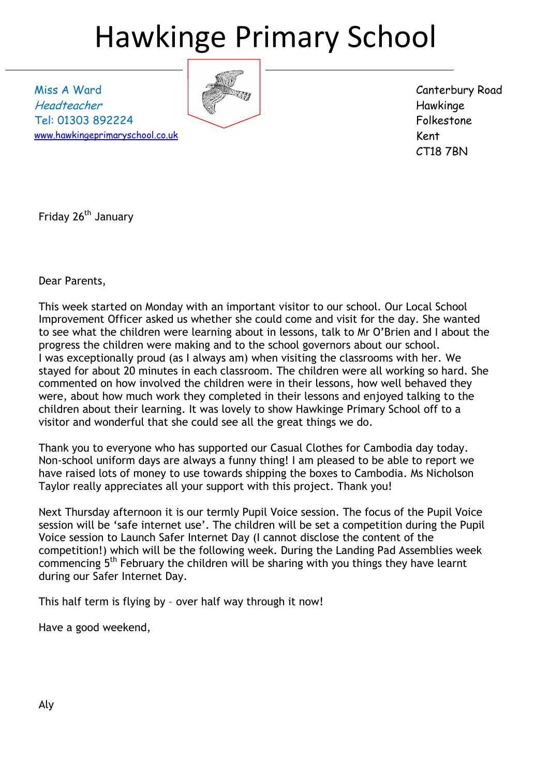# Hawkinge Primary School

Miss A Ward Headteacher Tel: 01303 892224 [www.hawkingeprimaryschool.co.uk](http://www.hawkingeprimaryschool.co.uk/)



Canterbury Road Hawkinge Folkestone Kent CT18 7BN

Friday 26<sup>th</sup> January

Dear Parents,

This week started on Monday with an important visitor to our school. Our Local School Improvement Officer asked us whether she could come and visit for the day. She wanted to see what the children were learning about in lessons, talk to Mr O'Brien and I about the progress the children were making and to the school governors about our school. I was exceptionally proud (as I always am) when visiting the classrooms with her. We stayed for about 20 minutes in each classroom. The children were all working so hard. She commented on how involved the children were in their lessons, how well behaved they were, about how much work they completed in their lessons and enjoyed talking to the children about their learning. It was lovely to show Hawkinge Primary School off to a visitor and wonderful that she could see all the great things we do.

Thank you to everyone who has supported our Casual Clothes for Cambodia day today. Non-school uniform days are always a funny thing! I am pleased to be able to report we have raised lots of money to use towards shipping the boxes to Cambodia. Ms Nicholson Taylor really appreciates all your support with this project. Thank you!

Next Thursday afternoon it is our termly Pupil Voice session. The focus of the Pupil Voice session will be 'safe internet use'. The children will be set a competition during the Pupil Voice session to Launch Safer Internet Day (I cannot disclose the content of the competition!) which will be the following week. During the Landing Pad Assemblies week commencing 5th February the children will be sharing with you things they have learnt during our Safer Internet Day.

This half term is flying by – over half way through it now!

Have a good weekend,